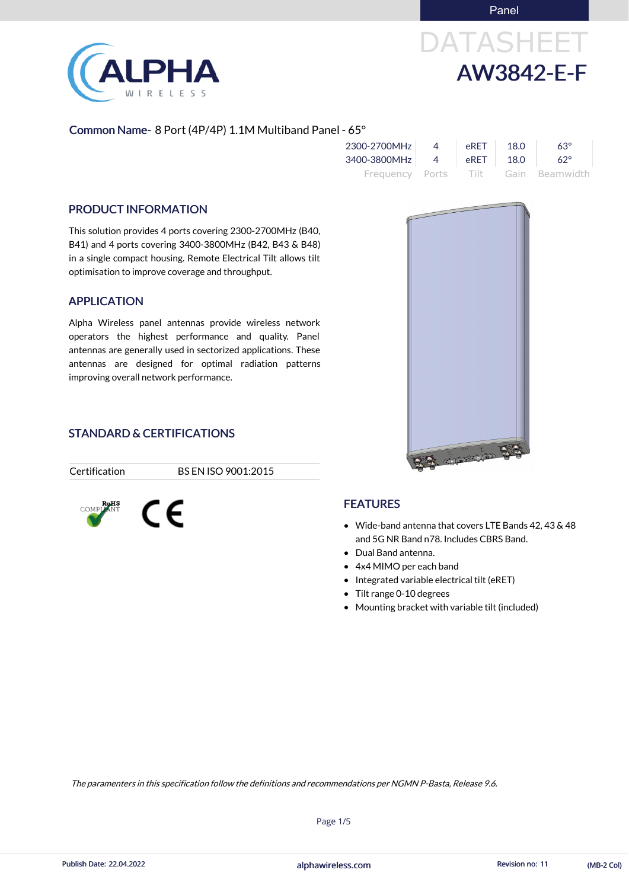Panel

# DATASHEET AW3842-E-F

### Common Name- 8 Port (4P/4P) 1.1M Multiband Panel - 65°

| 2300-2700MHz | $\overline{4}$ | eRET | 18.0  | $63^\circ$                          |
|--------------|----------------|------|-------|-------------------------------------|
| 3400-3800MHz | $-1$ 4         | eRET | -18.0 | $62^{\circ}$                        |
|              |                |      |       | Frequency Ports Tilt Gain Beamwidth |

### PRODUCT INFORMATION

This solution provides 4 ports covering 2300-2700MHz (B40, B41) and 4 ports covering 3400-3800MHz (B42, B43 & B48) in a single compact housing. Remote Electrical Tilt allows tilt optimisation to improve coverage and throughput.

### APPLICATION

Alpha Wireless panel antennas provide wireless network operators the highest performance and quality. Panel antennas are generally used in sectorized applications. These antennas are designed for optimal radiation patterns improving overall network performance.

### STANDARD & CERTIFICATIONS

CE

Certification BS EN ISO 9001:2015



### **FEATURES**

- Wide-band antenna that covers LTE Bands 42, 43 & 48 and 5G NR Band n78. Includes CBRS Band.
- Dual Band antenna.
- 4x4 MIMO per each band
- Integrated variable electrical tilt (eRET)
- Tilt range 0-10 degrees
- Mounting bracket with variable tilt (included)





Page 1/5

alphawireless.com Publish Date: 22.04.2022 Revision no: 11 (MB-2 Col)

The paramenters in this specification follow the definitions and recommendations per NGMN P-Basta, Release 9.6.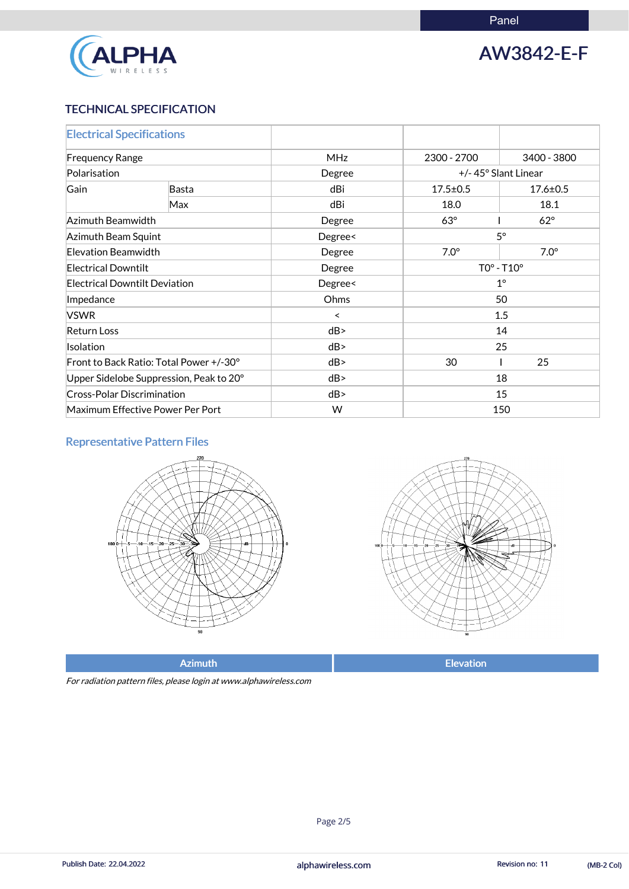Panel



# AW3842-E-F

### TECHNICAL SPECIFICATION

| <b>Electrical Specifications</b>            |     |                      |                |                     |  |
|---------------------------------------------|-----|----------------------|----------------|---------------------|--|
| <b>Frequency Range</b>                      |     | <b>MHz</b>           | 2300 - 2700    | 3400 - 3800         |  |
| Polarisation                                |     | Degree               |                | +/-45° Slant Linear |  |
| Gain<br>Basta                               |     | dBi                  | $17.5 \pm 0.5$ | $17.6 \pm 0.5$      |  |
|                                             | Max | dBi                  | 18.0           | 18.1                |  |
| Azimuth Beamwidth                           |     | $63^\circ$<br>Degree |                | $62^\circ$          |  |
| $5^\circ$<br>Azimuth Beam Squint<br>Degree< |     |                      |                |                     |  |
| Elevation Beamwidth                         |     | Degree               | $7.0^\circ$    | $7.0^\circ$         |  |
| <b>Electrical Downtilt</b>                  |     | Degree               | $TOo - T1Oo$   |                     |  |
| <b>Electrical Downtilt Deviation</b>        |     | Degree<              | $1^{\circ}$    |                     |  |
| Impedance                                   |     | Ohms                 | 50             |                     |  |
| <b>VSWR</b>                                 |     | $\prec$              | 1.5            |                     |  |
| <b>Return Loss</b>                          |     | dB                   | 14             |                     |  |
| Isolation                                   |     | dB                   | 25             |                     |  |
| Front to Back Ratio: Total Power +/-30°     |     | dB                   | 30             | 25                  |  |
| Upper Sidelobe Suppression, Peak to 20°     |     | dB                   |                | 18                  |  |
| <b>Cross-Polar Discrimination</b>           |     | dB                   | 15             |                     |  |
| Maximum Effective Power Per Port            |     | W                    | 150            |                     |  |

### Representative Pattern Files





For radiation pattern files, please login at www.alphawireless.com

#### alphawireless.com

Publish Date: 22.04.2022 **Revision no: 11** (MB-2 Col)

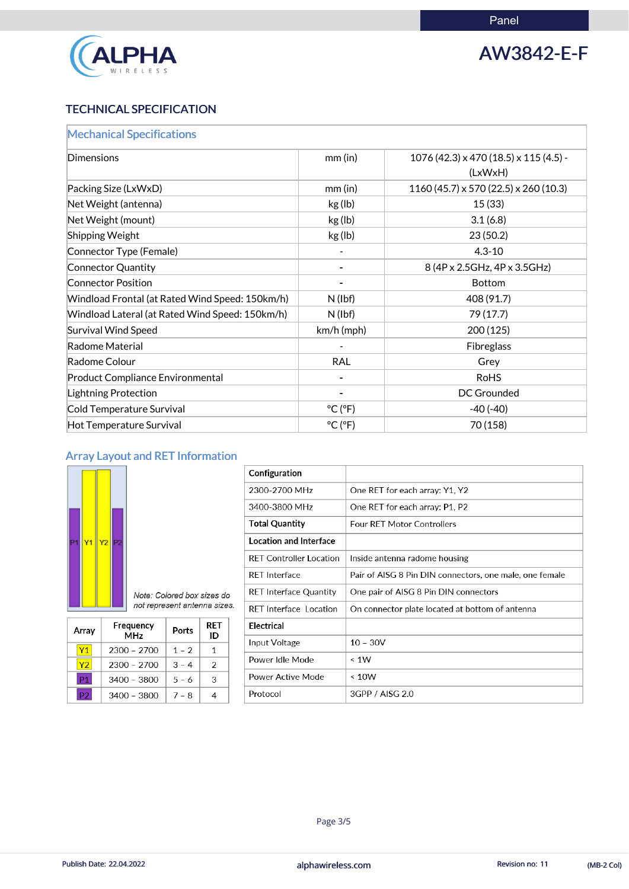

# AW3842-E-F

### TECHNICAL SPECIFICATION

| <b>Mechanical Specifications</b>                |                              |                                                            |
|-------------------------------------------------|------------------------------|------------------------------------------------------------|
| <b>Dimensions</b>                               | $mm$ (in)                    | $1076(42.3) \times 470(18.5) \times 115(4.5)$ -<br>(LxWxH) |
| Packing Size (LxWxD)                            | $mm$ (in)                    | $1160(45.7) \times 570(22.5) \times 260(10.3)$             |
| Net Weight (antenna)                            | kg (lb)                      | 15(33)                                                     |
| Net Weight (mount)                              | kg (lb)                      | 3.1(6.8)                                                   |
| <b>Shipping Weight</b>                          | kg (lb)                      | 23(50.2)                                                   |
| Connector Type (Female)                         |                              | $4.3 - 10$                                                 |
| Connector Quantity                              |                              | 8 (4P x 2.5GHz, 4P x 3.5GHz)                               |
| <b>Connector Position</b>                       |                              | <b>Bottom</b>                                              |
| Windload Frontal (at Rated Wind Speed: 150km/h) | $N$ (lbf)                    | 408 (91.7)                                                 |
| Windload Lateral (at Rated Wind Speed: 150km/h) | $N$ (lbf)                    | 79 (17.7)                                                  |
| <b>Survival Wind Speed</b>                      | km/h (mph)                   | 200(125)                                                   |
| Radome Material                                 |                              | Fibreglass                                                 |
| Radome Colour                                   | <b>RAL</b>                   | Grey                                                       |
| <b>Product Compliance Environmental</b>         |                              | <b>RoHS</b>                                                |
| <b>Lightning Protection</b>                     |                              | <b>DC Grounded</b>                                         |
| Cold Temperature Survival                       | $^{\circ}$ C ( $^{\circ}$ F) | $-40(-40)$                                                 |
| Hot Temperature Survival                        | $^{\circ}$ C ( $^{\circ}$ F) | 70 (158)                                                   |

## Array Layout and RET Information



| Configuration                  |                                                         |
|--------------------------------|---------------------------------------------------------|
| 2300-2700 MHz                  | One RET for each array: Y1, Y2                          |
| 3400-3800 MHz                  | One RET for each array: P1, P2                          |
| <b>Total Quantity</b>          | <b>Four RET Motor Controllers</b>                       |
| <b>Location and Interface</b>  |                                                         |
| <b>RET Controller Location</b> | Inside antenna radome housing                           |
| <b>RFT</b> Interface           | Pair of AISG 8 Pin DIN connectors, one male, one female |
| <b>RET Interface Quantity</b>  | One pair of AISG 8 Pin DIN connectors                   |
| <b>RET</b> Interface Location  | On connector plate located at bottom of antenna         |
| Electrical                     |                                                         |
| Input Voltage                  | $10 - 30V$                                              |
| Power Idle Mode                | < 1W                                                    |
|                                |                                                         |

| Array          | Frequency<br><b>MHz</b> | Ports   | RET<br>ID |
|----------------|-------------------------|---------|-----------|
| <b>Y1</b>      | 2300 - 2700             | $1 - 2$ | 1         |
| Y2             | $2300 - 2700$           | $3 - 4$ | 2         |
| <b>P1</b>      | 3400 - 3800             | $5 - 6$ | З         |
| P <sub>2</sub> | 3400 - 3800             | $7 - 8$ | 4         |

| Power Active Mode | $\leq 10W$      |
|-------------------|-----------------|
| Protocol          | 3GPP / AISG 2.0 |

#### alphawireless.com

Publish Date: 22.04.2022 **Revision no: 11** (MB-2 Col)

Page 3/5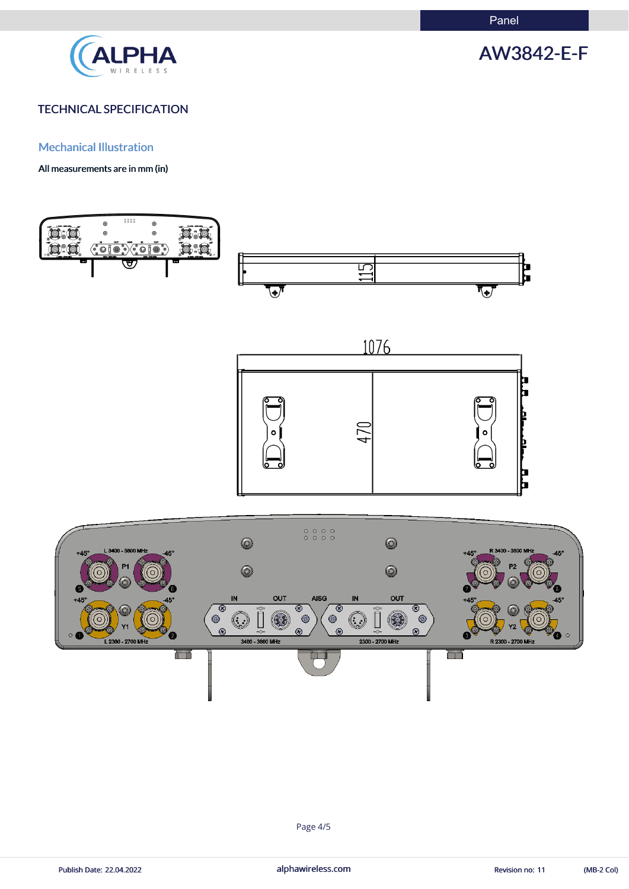

# AW3842-E-F

### TECHNICAL SPECIFICATION

Mechanical Illustration

All measurements are in mm (in)











Publish Date: 22.04.2022 **alphawireless.com** and alphawireless.com Revision no: 11 (MB-2 Col)